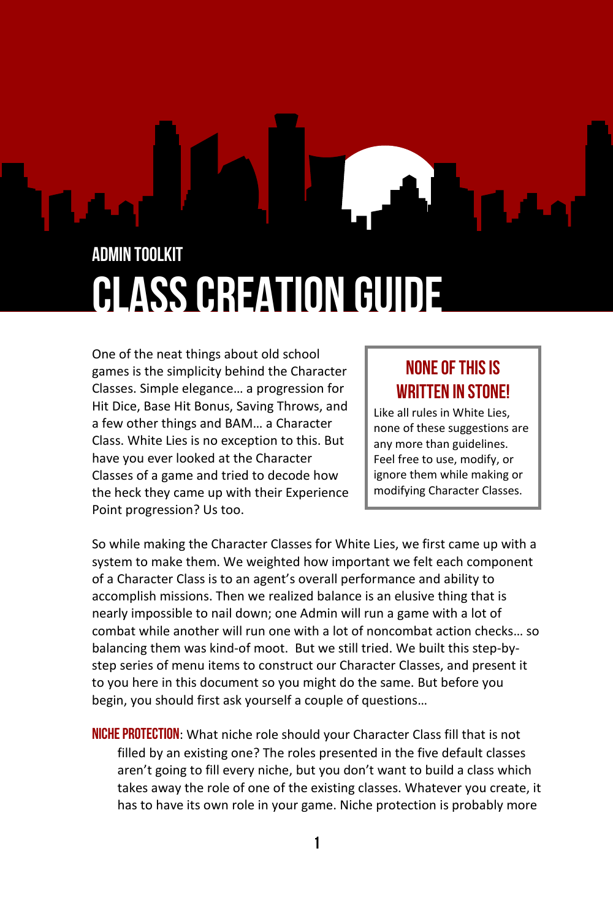## Admin Toolkit Class Creation Guide

One of the neat things about old school games is the simplicity behind the Character Classes. Simple elegance… a progression for Hit Dice, Base Hit Bonus, Saving Throws, and a few other things and BAM… a Character Class. White Lies is no exception to this. But have you ever looked at the Character Classes of a game and tried to decode how the heck they came up with their Experience Point progression? Us too.

### None of this is written in stone!

Like all rules in White Lies, none of these suggestions are any more than guidelines. Feel free to use, modify, or ignore them while making or modifying Character Classes.

So while making the Character Classes for White Lies, we first came up with a system to make them. We weighted how important we felt each component of a Character Class is to an agent's overall performance and ability to accomplish missions. Then we realized balance is an elusive thing that is nearly impossible to nail down; one Admin will run a game with a lot of combat while another will run one with a lot of noncombat action checks… so balancing them was kind-of moot. But we still tried. We built this step-bystep series of menu items to construct our Character Classes, and present it to you here in this document so you might do the same. But before you begin, you should first ask yourself a couple of questions…

NICHE PROTECTION: What niche role should your Character Class fill that is not filled by an existing one? The roles presented in the five default classes aren't going to fill every niche, but you don't want to build a class which takes away the role of one of the existing classes. Whatever you create, it has to have its own role in your game. Niche protection is probably more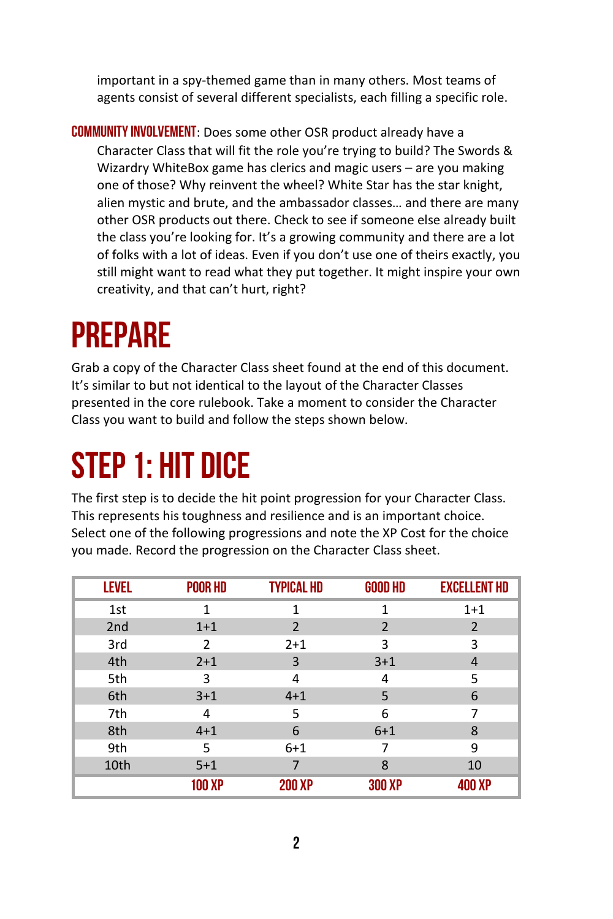important in a spy-themed game than in many others. Most teams of agents consist of several different specialists, each filling a specific role.

**COMMUNITY INVOLVEMENT:** Does some other OSR product already have a Character Class that will fit the role you're trying to build? The Swords & Wizardry WhiteBox game has clerics and magic users – are you making one of those? Why reinvent the wheel? White Star has the star knight, alien mystic and brute, and the ambassador classes… and there are many other OSR products out there. Check to see if someone else already built the class you're looking for. It's a growing community and there are a lot of folks with a lot of ideas. Even if you don't use one of theirs exactly, you still might want to read what they put together. It might inspire your own creativity, and that can't hurt, right?

### **PREPARE**

Grab a copy of the Character Class sheet found at the end of this document. It's similar to but not identical to the layout of the Character Classes presented in the core rulebook. Take a moment to consider the Character Class you want to build and follow the steps shown below.

## Step 1: Hit Dice

The first step is to decide the hit point progression for your Character Class. This represents his toughness and resilience and is an important choice. Select one of the following progressions and note the XP Cost for the choice you made. Record the progression on the Character Class sheet.

| <b>LEVEL</b>    | POOR HD                  | <b>TYPICAL HD</b> | GOOD HD       | <b>EXCELLENT HD</b> |
|-----------------|--------------------------|-------------------|---------------|---------------------|
| 1st             | 1                        | 1                 | 1             | $1+1$               |
| 2 <sub>nd</sub> | $1 + 1$                  | 2                 | 2             | 2                   |
| 3rd             | $\overline{\phantom{a}}$ | $2 + 1$           | 3             | 3                   |
| 4th             | $2 + 1$                  | 3                 | $3 + 1$       | 4                   |
| 5th             | 3                        | 4                 | 4             | 5                   |
| 6th             | $3 + 1$                  | $4 + 1$           | 5             | 6                   |
| 7th             | 4                        | 5                 | 6             | 7                   |
| 8th             | $4 + 1$                  | 6                 | $6 + 1$       | 8                   |
| 9th             | 5                        | $6 + 1$           | 7             | 9                   |
| 10th            | $5 + 1$                  | 7                 | 8             | 10                  |
|                 | <b>100 XP</b>            | <b>200 XP</b>     | <b>300 XP</b> | <b>400 XP</b>       |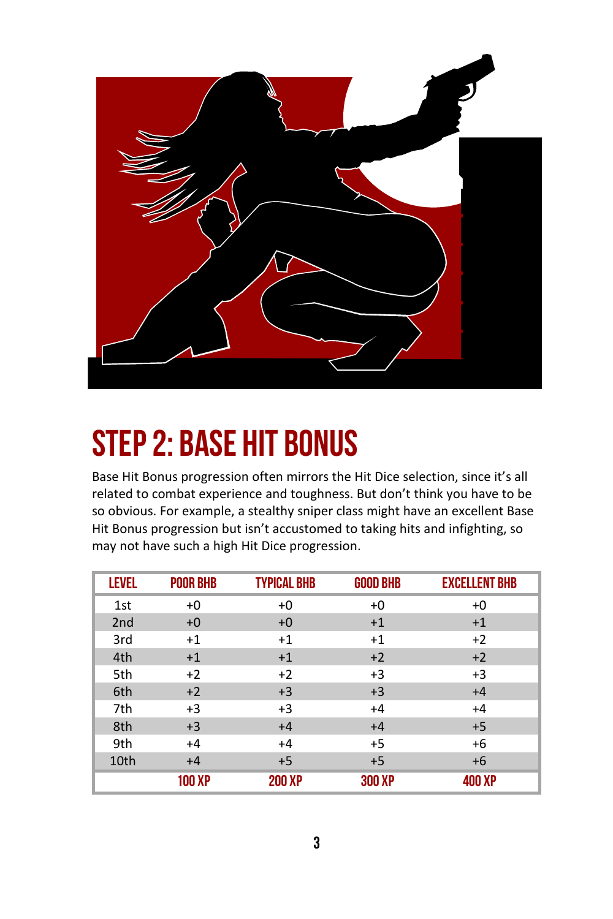

### Step 2: Base Hit Bonus

Base Hit Bonus progression often mirrors the Hit Dice selection, since it's all related to combat experience and toughness. But don't think you have to be so obvious. For example, a stealthy sniper class might have an excellent Base Hit Bonus progression but isn't accustomed to taking hits and infighting, so may not have such a high Hit Dice progression.

| <b>LEVEL</b>    | <b>POOR BHB</b> | <b>TYPICAL BHB</b> | <b>GOOD BHB</b> | <b>EXCELLENT BHB</b> |
|-----------------|-----------------|--------------------|-----------------|----------------------|
| 1st             | $+0$            | $+0$               | $+0$            | $+0$                 |
| 2 <sub>nd</sub> | $+0$            | $+0$               | $+1$            | $+1$                 |
| 3rd             | $+1$            | $+1$               | $+1$            | $+2$                 |
| 4th             | $+1$            | $+1$               | $+2$            | $+2$                 |
| 5th             | $+2$            | $+2$               | $+3$            | $+3$                 |
| 6th             | $+2$            | $+3$               | $+3$            | $+4$                 |
| 7th             | $+3$            | $+3$               | $+4$            | $+4$                 |
| 8th             | $+3$            | $+4$               | $+4$            | $+5$                 |
| 9th             | $+4$            | $+4$               | $+5$            | $+6$                 |
| 10th            | $+4$            | $+5$               | $+5$            | $+6$                 |
|                 | <b>100 XP</b>   | <b>200 XP</b>      | <b>300 XP</b>   | <b>400 XP</b>        |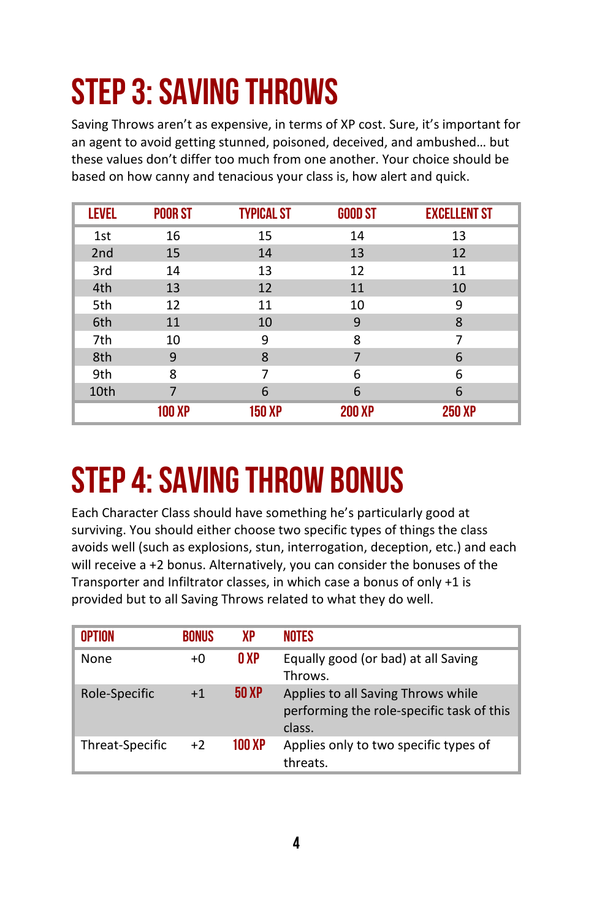## Step 3: Saving Throws

Saving Throws aren't as expensive, in terms of XP cost. Sure, it's important for an agent to avoid getting stunned, poisoned, deceived, and ambushed… but these values don't differ too much from one another. Your choice should be based on how canny and tenacious your class is, how alert and quick.

| <b>LEVEL</b>    | <b>POOR ST</b> | <b>TYPICAL ST</b> | <b>GOOD ST</b> | <b>EXCELLENT ST</b> |
|-----------------|----------------|-------------------|----------------|---------------------|
| 1st             | 16             | 15                | 14             | 13                  |
| 2 <sub>nd</sub> | 15             | 14                | 13             | 12                  |
| 3rd             | 14             | 13                | 12             | 11                  |
| 4th             | 13             | 12                | 11             | 10                  |
| 5th             | 12             | 11                | 10             | 9                   |
| 6th             | 11             | 10                | 9              | 8                   |
| 7th             | 10             | 9                 | 8              | 7                   |
| 8th             | 9              | 8                 | 7              | 6                   |
| 9th             | 8              | 7                 | 6              | 6                   |
| 10th            | 7              | 6                 | 6              | 6                   |
|                 | <b>100 XP</b>  | <b>150 XP</b>     | <b>200 XP</b>  | <b>250 XP</b>       |

## Step 4: Saving Throw Bonus

Each Character Class should have something he's particularly good at surviving. You should either choose two specific types of things the class avoids well (such as explosions, stun, interrogation, deception, etc.) and each will receive a +2 bonus. Alternatively, you can consider the bonuses of the Transporter and Infiltrator classes, in which case a bonus of only +1 is provided but to all Saving Throws related to what they do well.

| <b>OPTION</b>   | <b>RONIJS</b> | ХP           | <b>NOTES</b>                                                                              |
|-----------------|---------------|--------------|-------------------------------------------------------------------------------------------|
| None            | $+0$          | 0 XP         | Equally good (or bad) at all Saving<br>Throws.                                            |
| Role-Specific   | $+1$          | <b>50 XP</b> | Applies to all Saving Throws while<br>performing the role-specific task of this<br>class. |
| Threat-Specific | $+2$          | 100 XP       | Applies only to two specific types of<br>threats.                                         |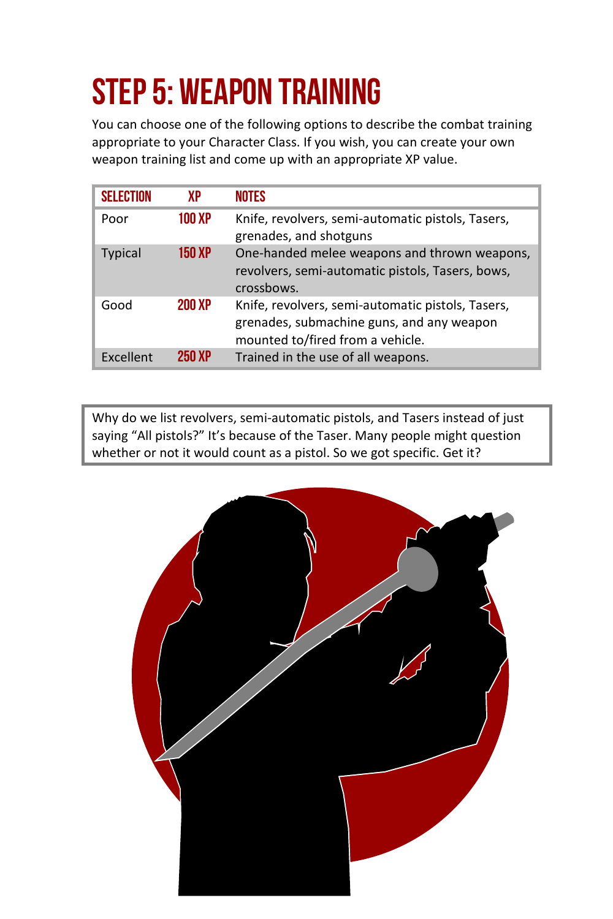# Step 5: Weapon Training

You can choose one of the following options to describe the combat training appropriate to your Character Class. If you wish, you can create your own weapon training list and come up with an appropriate XP value.

| <b>SELECTION</b> | χp     | <b>NOTES</b>                                                                                                                       |
|------------------|--------|------------------------------------------------------------------------------------------------------------------------------------|
| Poor             | 100 XP | Knife, revolvers, semi-automatic pistols, Tasers,<br>grenades, and shotguns                                                        |
| <b>Typical</b>   | 150 XP | One-handed melee weapons and thrown weapons,<br>revolvers, semi-automatic pistols, Tasers, bows,<br>crossbows.                     |
| Good             | 200 XP | Knife, revolvers, semi-automatic pistols, Tasers,<br>grenades, submachine guns, and any weapon<br>mounted to/fired from a vehicle. |
| Excellent        | 250 XP | Trained in the use of all weapons.                                                                                                 |

Why do we list revolvers, semi-automatic pistols, and Tasers instead of just saying "All pistols?" It's because of the Taser. Many people might question whether or not it would count as a pistol. So we got specific. Get it?

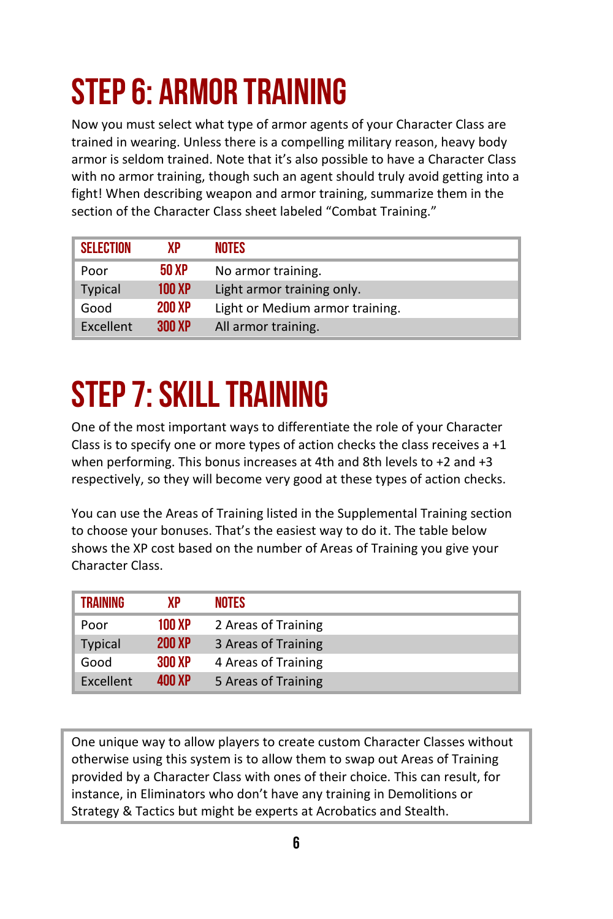# Step 6: Armor Training

Now you must select what type of armor agents of your Character Class are trained in wearing. Unless there is a compelling military reason, heavy body armor is seldom trained. Note that it's also possible to have a Character Class with no armor training, though such an agent should truly avoid getting into a fight! When describing weapon and armor training, summarize them in the section of the Character Class sheet labeled "Combat Training."

| <b>SFI FCTION</b> | χp            | <b>NOTES</b>                    |
|-------------------|---------------|---------------------------------|
| Poor              | <b>50 XP</b>  | No armor training.              |
| <b>Typical</b>    | 100 XP        | Light armor training only.      |
| Good              | 200 XP        | Light or Medium armor training. |
| Excellent         | <b>300 XP</b> | All armor training.             |

## Step 7: Skill Training

One of the most important ways to differentiate the role of your Character Class is to specify one or more types of action checks the class receives a +1 when performing. This bonus increases at 4th and 8th levels to +2 and +3 respectively, so they will become very good at these types of action checks.

You can use the Areas of Training listed in the Supplemental Training section to choose your bonuses. That's the easiest way to do it. The table below shows the XP cost based on the number of Areas of Training you give your Character Class.

| TRAINING       | χp            | <b>NOTES</b>        |
|----------------|---------------|---------------------|
| Poor           | 100 XP        | 2 Areas of Training |
| <b>Typical</b> | 200 XP        | 3 Areas of Training |
| Good           | <b>300 XP</b> | 4 Areas of Training |
| Excellent      | 400 XP        | 5 Areas of Training |

One unique way to allow players to create custom Character Classes without otherwise using this system is to allow them to swap out Areas of Training provided by a Character Class with ones of their choice. This can result, for instance, in Eliminators who don't have any training in Demolitions or Strategy & Tactics but might be experts at Acrobatics and Stealth.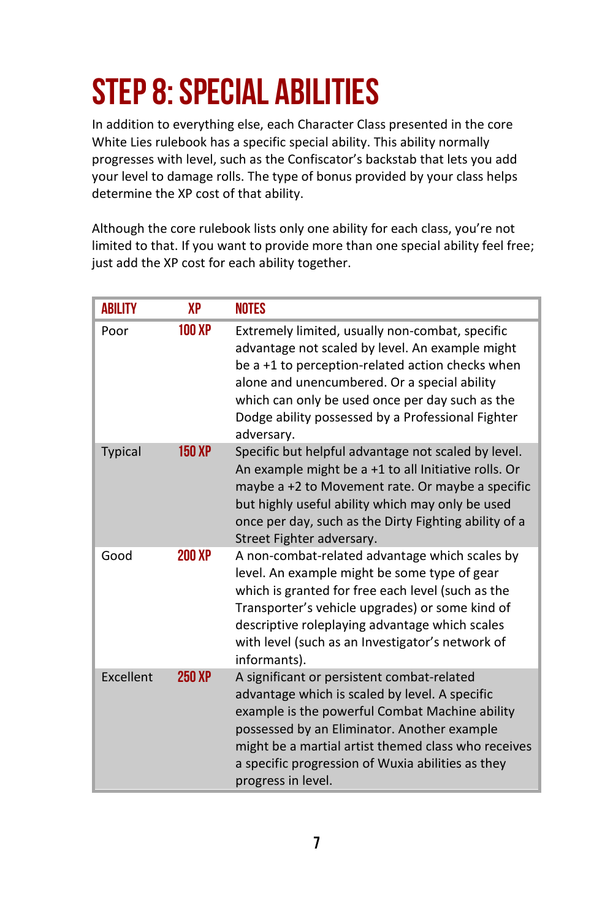# Step 8: Special Abilities

In addition to everything else, each Character Class presented in the core White Lies rulebook has a specific special ability. This ability normally progresses with level, such as the Confiscator's backstab that lets you add your level to damage rolls. The type of bonus provided by your class helps determine the XP cost of that ability.

Although the core rulebook lists only one ability for each class, you're not limited to that. If you want to provide more than one special ability feel free; just add the XP cost for each ability together.

| <b>ABILITY</b> | <b>XP</b>     | <b>NOTES</b>                                                                                                                                                                                                                                                                                                                    |
|----------------|---------------|---------------------------------------------------------------------------------------------------------------------------------------------------------------------------------------------------------------------------------------------------------------------------------------------------------------------------------|
| Poor           | <b>100 XP</b> | Extremely limited, usually non-combat, specific<br>advantage not scaled by level. An example might<br>be a +1 to perception-related action checks when<br>alone and unencumbered. Or a special ability<br>which can only be used once per day such as the<br>Dodge ability possessed by a Professional Fighter<br>adversary.    |
| <b>Typical</b> | <b>150 XP</b> | Specific but helpful advantage not scaled by level.<br>An example might be a +1 to all Initiative rolls. Or<br>maybe a +2 to Movement rate. Or maybe a specific<br>but highly useful ability which may only be used<br>once per day, such as the Dirty Fighting ability of a<br>Street Fighter adversary.                       |
| Good           | 200 XP        | A non-combat-related advantage which scales by<br>level. An example might be some type of gear<br>which is granted for free each level (such as the<br>Transporter's vehicle upgrades) or some kind of<br>descriptive roleplaying advantage which scales<br>with level (such as an Investigator's network of<br>informants).    |
| Excellent      | <b>250 XP</b> | A significant or persistent combat-related<br>advantage which is scaled by level. A specific<br>example is the powerful Combat Machine ability<br>possessed by an Eliminator. Another example<br>might be a martial artist themed class who receives<br>a specific progression of Wuxia abilities as they<br>progress in level. |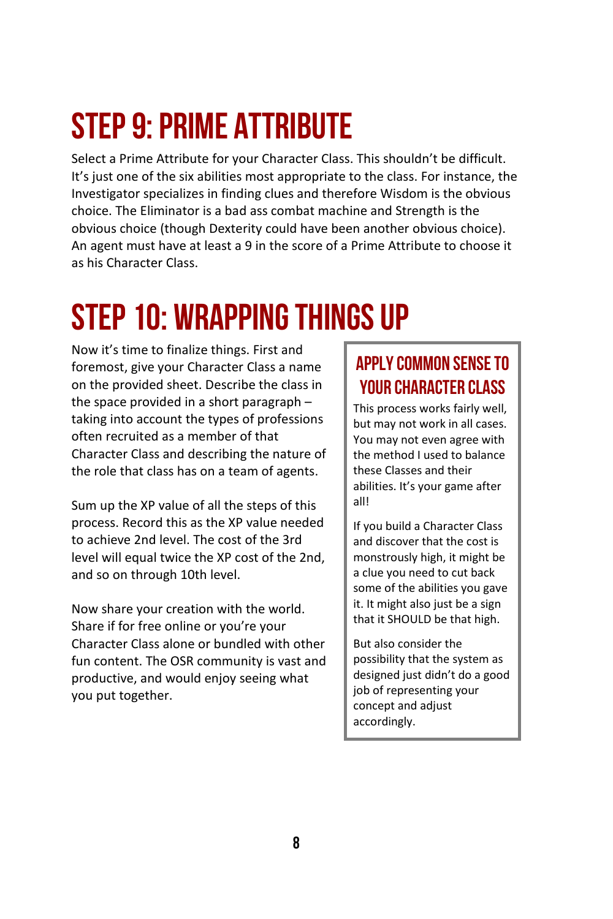### Step 9: Prime Attribute

Select a Prime Attribute for your Character Class. This shouldn't be difficult. It's just one of the six abilities most appropriate to the class. For instance, the Investigator specializes in finding clues and therefore Wisdom is the obvious choice. The Eliminator is a bad ass combat machine and Strength is the obvious choice (though Dexterity could have been another obvious choice). An agent must have at least a 9 in the score of a Prime Attribute to choose it as his Character Class.

### Step 10: Wrapping Things Up

Now it's time to finalize things. First and foremost, give your Character Class a name on the provided sheet. Describe the class in the space provided in a short paragraph – taking into account the types of professions often recruited as a member of that Character Class and describing the nature of the role that class has on a team of agents.

Sum up the XP value of all the steps of this process. Record this as the XP value needed to achieve 2nd level. The cost of the 3rd level will equal twice the XP cost of the 2nd, and so on through 10th level.

Now share your creation with the world. Share if for free online or you're your Character Class alone or bundled with other fun content. The OSR community is vast and productive, and would enjoy seeing what you put together.

### **APPLY COMMON SENSE TO** your Character Class

This process works fairly well, but may not work in all cases. You may not even agree with the method I used to balance these Classes and their abilities. It's your game after all!

If you build a Character Class and discover that the cost is monstrously high, it might be a clue you need to cut back some of the abilities you gave it. It might also just be a sign that it SHOULD be that high.

But also consider the possibility that the system as designed just didn't do a good job of representing your concept and adjust accordingly.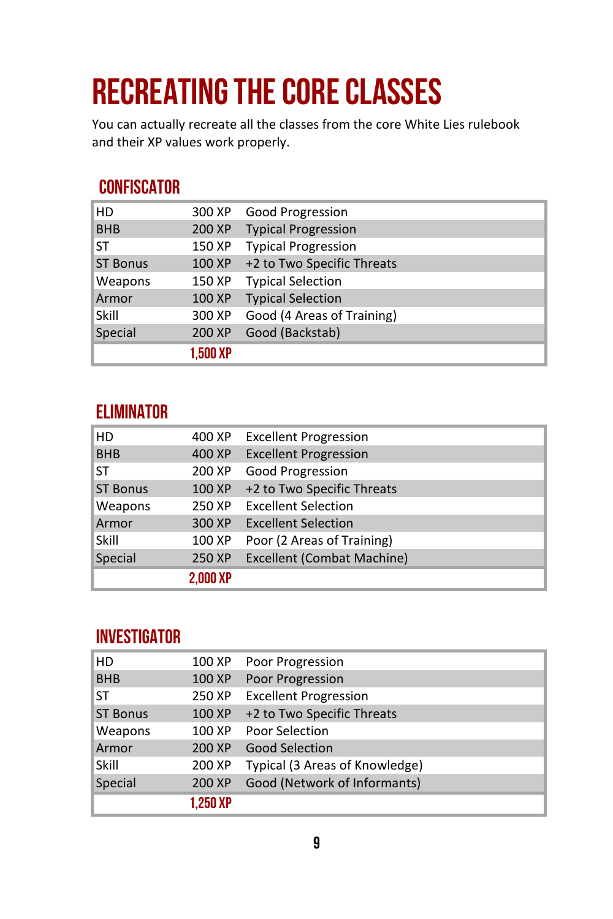# Recreating the Core Classes

You can actually recreate all the classes from the core White Lies rulebook and their XP values work properly.

### **CONFISCATOR**

| HD              | 300 XP     | Good Progression           |
|-----------------|------------|----------------------------|
| <b>BHB</b>      | 200 XP     | <b>Typical Progression</b> |
| <b>ST</b>       | 150 XP     | <b>Typical Progression</b> |
| <b>ST Bonus</b> | 100 XP     | +2 to Two Specific Threats |
| Weapons         | 150 XP     | <b>Typical Selection</b>   |
| Armor           | 100 XP     | <b>Typical Selection</b>   |
| Skill           | 300 XP     | Good (4 Areas of Training) |
| Special         | 200 XP     | Good (Backstab)            |
|                 | $1.500$ XP |                            |

#### **ELIMINATOR**

| HD              | 400 XP     | <b>Excellent Progression</b> |
|-----------------|------------|------------------------------|
| <b>BHB</b>      | 400 XP     | <b>Excellent Progression</b> |
| <b>ST</b>       | 200 XP     | Good Progression             |
| <b>ST Bonus</b> | 100 XP     | +2 to Two Specific Threats   |
| Weapons         | 250 XP     | <b>Excellent Selection</b>   |
| Armor           | 300 XP     | <b>Excellent Selection</b>   |
| Skill           | 100 XP     | Poor (2 Areas of Training)   |
| Special         | 250 XP     | Excellent (Combat Machine)   |
|                 | $2.000$ XP |                              |

#### **INVESTIGATOR**

| HD              | 100 XP   | Poor Progression               |
|-----------------|----------|--------------------------------|
| <b>BHB</b>      | 100 XP   | Poor Progression               |
| <b>ST</b>       | 250 XP   | <b>Excellent Progression</b>   |
| <b>ST Bonus</b> | 100 XP   | +2 to Two Specific Threats     |
| Weapons         | 100 XP   | Poor Selection                 |
| Armor           | 200 XP   | <b>Good Selection</b>          |
| Skill           | 200 XP   | Typical (3 Areas of Knowledge) |
| Special         | 200 XP   | Good (Network of Informants)   |
|                 | 1.250 XP |                                |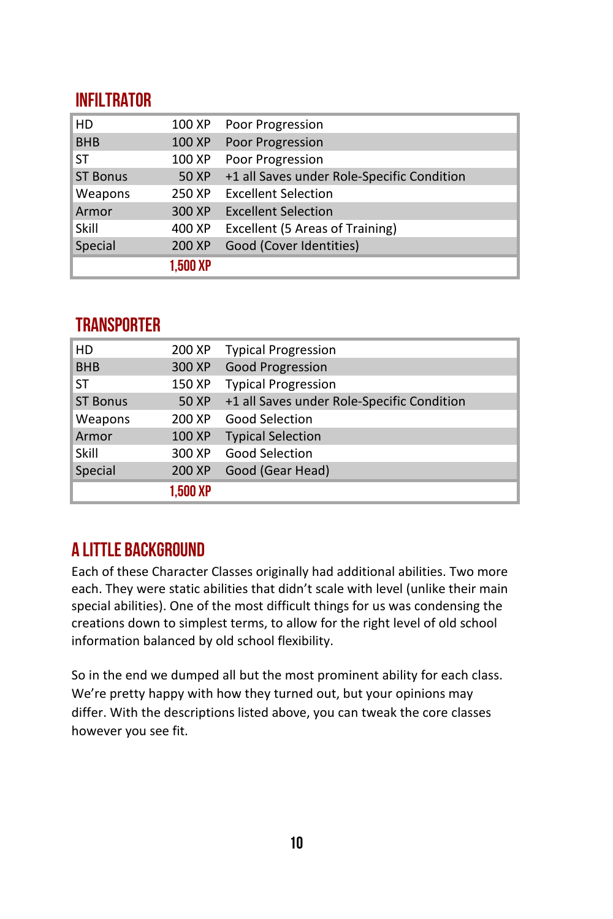#### **INFILTRATOR**

| HD              | 100 XP     | Poor Progression                           |
|-----------------|------------|--------------------------------------------|
| <b>BHB</b>      | 100 XP     | Poor Progression                           |
| <b>ST</b>       | 100 XP     | Poor Progression                           |
| <b>ST Bonus</b> | 50 XP      | +1 all Saves under Role-Specific Condition |
| Weapons         | 250 XP     | <b>Excellent Selection</b>                 |
| Armor           | 300 XP     | <b>Excellent Selection</b>                 |
| Skill           | 400 XP     | Excellent (5 Areas of Training)            |
| Special         | 200 XP     | Good (Cover Identities)                    |
|                 | $1.500$ XP |                                            |

#### **TRANSPORTER**

| HD              | 200 XP   | <b>Typical Progression</b>                 |
|-----------------|----------|--------------------------------------------|
| <b>BHB</b>      | 300 XP   | <b>Good Progression</b>                    |
| <b>ST</b>       | 150 XP   | <b>Typical Progression</b>                 |
| <b>ST Bonus</b> | 50 XP    | +1 all Saves under Role-Specific Condition |
| Weapons         | 200 XP   | <b>Good Selection</b>                      |
| Armor           | 100 XP   | <b>Typical Selection</b>                   |
| Skill           | 300 XP   | <b>Good Selection</b>                      |
| Special         | 200 XP   | Good (Gear Head)                           |
|                 | 1.500 XP |                                            |

### A little background

Each of these Character Classes originally had additional abilities. Two more each. They were static abilities that didn't scale with level (unlike their main special abilities). One of the most difficult things for us was condensing the creations down to simplest terms, to allow for the right level of old school information balanced by old school flexibility.

So in the end we dumped all but the most prominent ability for each class. We're pretty happy with how they turned out, but your opinions may differ. With the descriptions listed above, you can tweak the core classes however you see fit.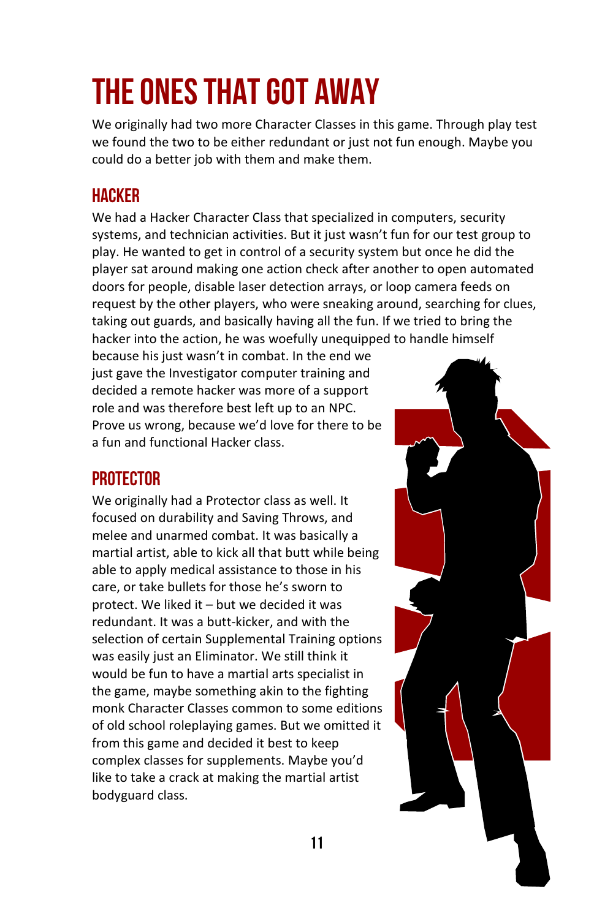# THE ONES THAT GOT AWAY

We originally had two more Character Classes in this game. Through play test we found the two to be either redundant or just not fun enough. Maybe you could do a better job with them and make them.

### **HACKER**

We had a Hacker Character Class that specialized in computers, security systems, and technician activities. But it just wasn't fun for our test group to play. He wanted to get in control of a security system but once he did the player sat around making one action check after another to open automated doors for people, disable laser detection arrays, or loop camera feeds on request by the other players, who were sneaking around, searching for clues, taking out guards, and basically having all the fun. If we tried to bring the hacker into the action, he was woefully unequipped to handle himself

because his just wasn't in combat. In the end we just gave the Investigator computer training and decided a remote hacker was more of a support role and was therefore best left up to an NPC. Prove us wrong, because we'd love for there to be a fun and functional Hacker class.

#### **PROTECTOR**

We originally had a Protector class as well. It focused on durability and Saving Throws, and melee and unarmed combat. It was basically a martial artist, able to kick all that butt while being able to apply medical assistance to those in his care, or take bullets for those he's sworn to protect. We liked it – but we decided it was redundant. It was a butt-kicker, and with the selection of certain Supplemental Training options was easily just an Eliminator. We still think it would be fun to have a martial arts specialist in the game, maybe something akin to the fighting monk Character Classes common to some editions of old school roleplaying games. But we omitted it from this game and decided it best to keep complex classes for supplements. Maybe you'd like to take a crack at making the martial artist bodyguard class.

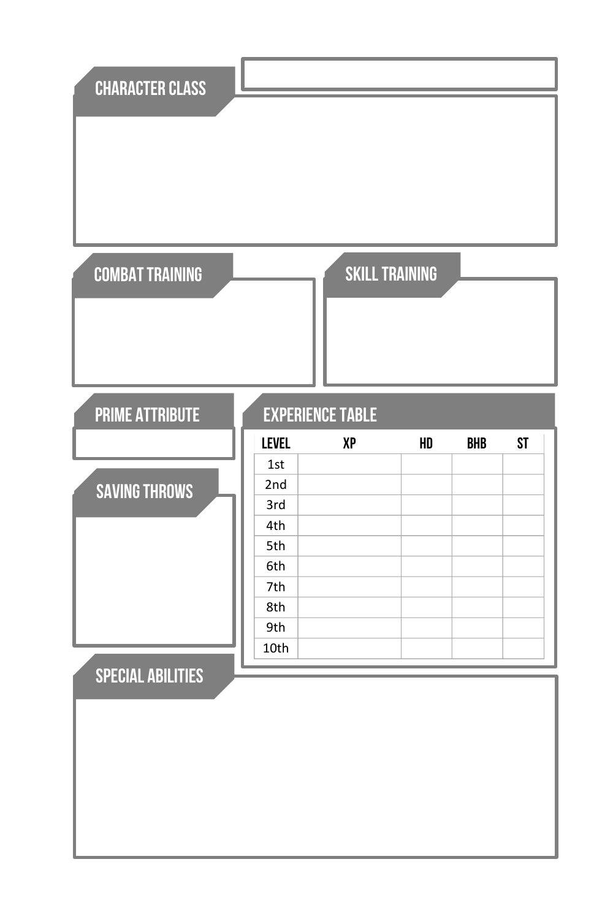| <b>CHARACTER CLASS</b>                            |                                                                                     |    |    |            |           |  |  |  |
|---------------------------------------------------|-------------------------------------------------------------------------------------|----|----|------------|-----------|--|--|--|
| <b>SKILL TRAINING</b><br><b>COMBAT TRAINING</b>   |                                                                                     |    |    |            |           |  |  |  |
| <b>PRIME ATTRIBUTE</b><br><b>EXPERIENCE TABLE</b> |                                                                                     |    |    |            |           |  |  |  |
| <b>SAVING THROWS</b>                              | <b>LEVEL</b><br>1st<br>2nd<br>3rd<br>4th<br>5th<br>6th<br>7th<br>8th<br>9th<br>10th | XP | HD | <b>BHB</b> | <b>ST</b> |  |  |  |
| <b>SPECIAL ABILITIES</b>                          |                                                                                     |    |    |            |           |  |  |  |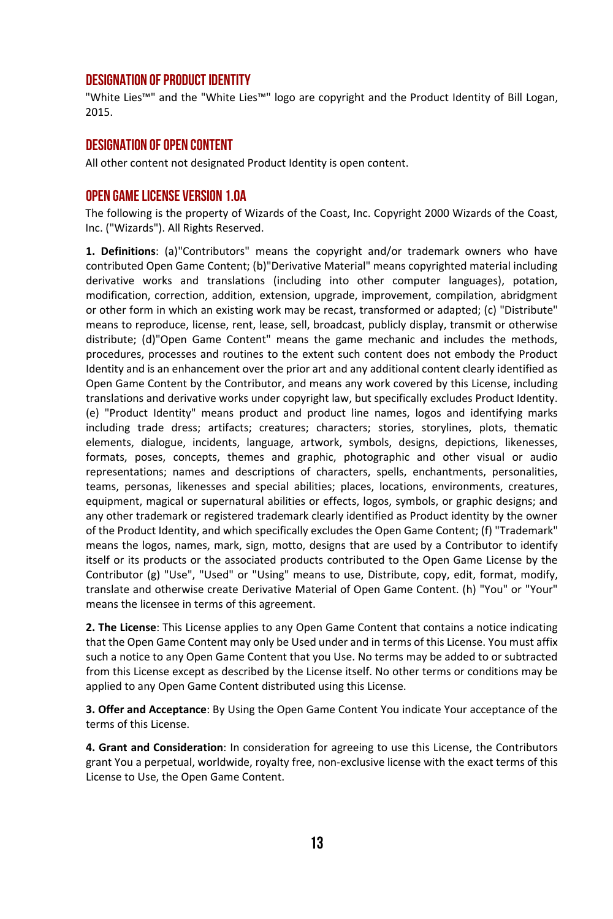#### DESIGNATION OF PRODUCT IDENTITY

"White Lies™" and the "White Lies™" logo are copyright and the Product Identity of Bill Logan, 2015.

#### DESIGNATION OF OPEN CONTENT

All other content not designated Product Identity is open content.

#### OPEN GAME LICENSE Version 1.0a

The following is the property of Wizards of the Coast, Inc. Copyright 2000 Wizards of the Coast, Inc. ("Wizards"). All Rights Reserved.

**1. Definitions**: (a)"Contributors" means the copyright and/or trademark owners who have contributed Open Game Content; (b)"Derivative Material" means copyrighted material including derivative works and translations (including into other computer languages), potation, modification, correction, addition, extension, upgrade, improvement, compilation, abridgment or other form in which an existing work may be recast, transformed or adapted; (c) "Distribute" means to reproduce, license, rent, lease, sell, broadcast, publicly display, transmit or otherwise distribute; (d)"Open Game Content" means the game mechanic and includes the methods, procedures, processes and routines to the extent such content does not embody the Product Identity and is an enhancement over the prior art and any additional content clearly identified as Open Game Content by the Contributor, and means any work covered by this License, including translations and derivative works under copyright law, but specifically excludes Product Identity. (e) "Product Identity" means product and product line names, logos and identifying marks including trade dress; artifacts; creatures; characters; stories, storylines, plots, thematic elements, dialogue, incidents, language, artwork, symbols, designs, depictions, likenesses, formats, poses, concepts, themes and graphic, photographic and other visual or audio representations; names and descriptions of characters, spells, enchantments, personalities, teams, personas, likenesses and special abilities; places, locations, environments, creatures, equipment, magical or supernatural abilities or effects, logos, symbols, or graphic designs; and any other trademark or registered trademark clearly identified as Product identity by the owner of the Product Identity, and which specifically excludes the Open Game Content; (f) "Trademark" means the logos, names, mark, sign, motto, designs that are used by a Contributor to identify itself or its products or the associated products contributed to the Open Game License by the Contributor (g) "Use", "Used" or "Using" means to use, Distribute, copy, edit, format, modify, translate and otherwise create Derivative Material of Open Game Content. (h) "You" or "Your" means the licensee in terms of this agreement.

**2. The License**: This License applies to any Open Game Content that contains a notice indicating that the Open Game Content may only be Used under and in terms of this License. You must affix such a notice to any Open Game Content that you Use. No terms may be added to or subtracted from this License except as described by the License itself. No other terms or conditions may be applied to any Open Game Content distributed using this License.

**3. Offer and Acceptance**: By Using the Open Game Content You indicate Your acceptance of the terms of this License.

**4. Grant and Consideration**: In consideration for agreeing to use this License, the Contributors grant You a perpetual, worldwide, royalty free, non-exclusive license with the exact terms of this License to Use, the Open Game Content.